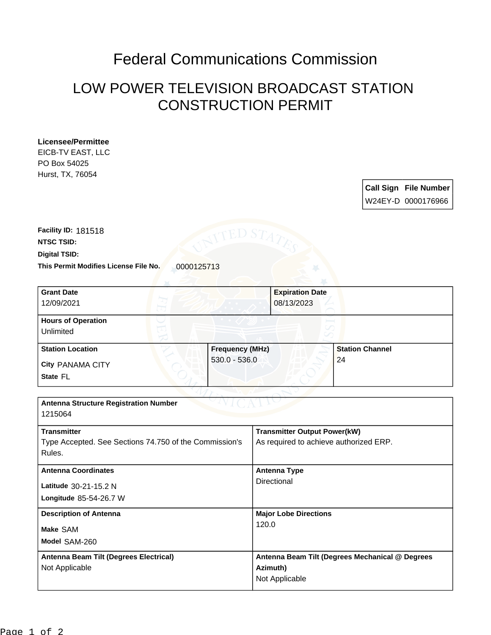## Federal Communications Commission

## LOW POWER TELEVISION BROADCAST STATION CONSTRUCTION PERMIT

| EICB-TV EAST, LLC                                                                                         |                                                                               |
|-----------------------------------------------------------------------------------------------------------|-------------------------------------------------------------------------------|
| PO Box 54025                                                                                              |                                                                               |
| Hurst, TX, 76054                                                                                          | <b>Call Sign File Number</b><br>W24EY-D 0000176966                            |
| Facility ID: 181518<br>NTSC TSID:<br>Digital TSID:<br>This Permit Modifies License File No.<br>0000125713 |                                                                               |
| <b>Grant Date</b><br>12/09/2021                                                                           | <b>Expiration Date</b><br>08/13/2023                                          |
| <b>Hours of Operation</b><br>Unlimited                                                                    |                                                                               |
| <b>Station Location</b><br><b>Frequency (MHz)</b>                                                         | <b>Station Channel</b>                                                        |
| $530.0 - 536.0$<br><b>City PANAMA CITY</b>                                                                | 24                                                                            |
| State FL                                                                                                  |                                                                               |
|                                                                                                           |                                                                               |
| <b>Antenna Structure Registration Number</b><br>1215064                                                   |                                                                               |
| <b>Transmitter</b>                                                                                        | <b>Transmitter Output Power(kW)</b>                                           |
| Type Accepted. See Sections 74.750 of the Commission's<br>Rules.                                          | As required to achieve authorized ERP.                                        |
| <b>Antenna Coordinates</b>                                                                                | <b>Antenna Type</b>                                                           |
| Latitude 30-21-15.2 N                                                                                     | Directional                                                                   |
| Longitude 85-54-26.7 W                                                                                    |                                                                               |
| <b>Description of Antenna</b>                                                                             | <b>Major Lobe Directions</b><br>120.0                                         |
| Make SAM                                                                                                  |                                                                               |
| Model SAM-260                                                                                             |                                                                               |
| Antenna Beam Tilt (Degrees Electrical)<br>Not Applicable                                                  | Antenna Beam Tilt (Degrees Mechanical @ Degrees<br>Azimuth)<br>Not Applicable |

**Licensee/Permittee**